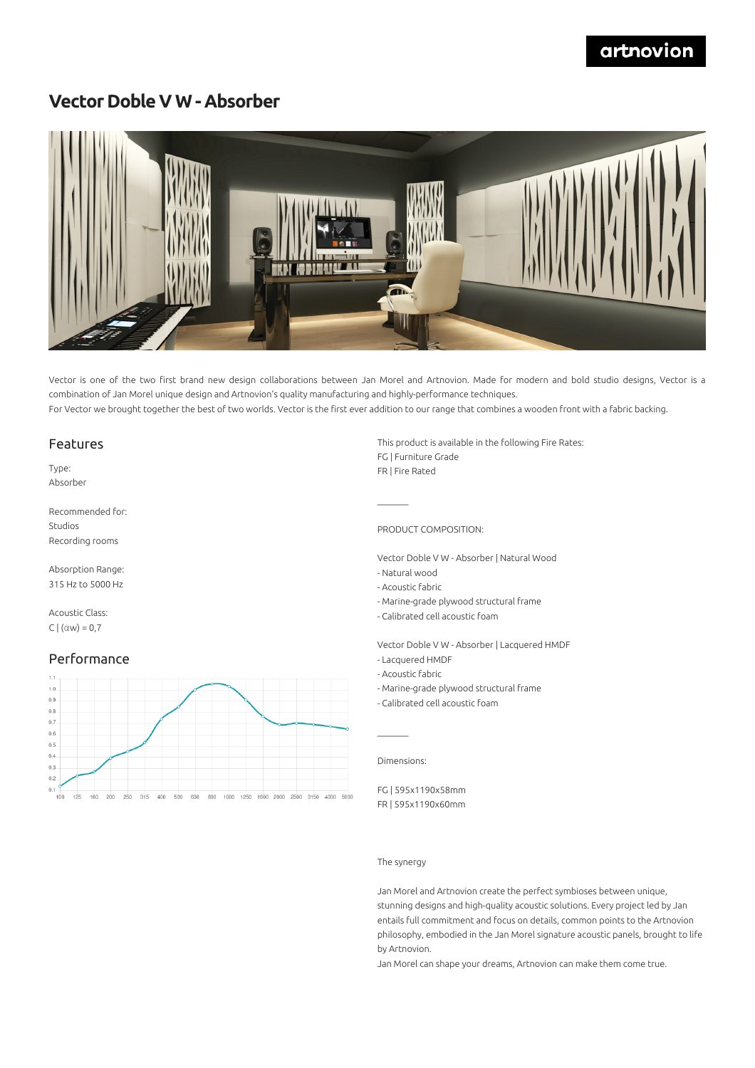# **Vector Doble V W - Absorber**



Vector is one of the two first brand new design collaborations between Jan Morel and Artnovion. Made for modern and bold studio designs, Vector is a combination of Jan Morel unique design and Artnovion's quality manufacturing and highly-performance techniques. For Vector we brought together the best of two worlds. Vector is the first ever addition to our range that combines a wooden front with a fabric backing.

#### Features

Type: Absorber

Recommended for: Studios Recording rooms

Absorption Range: 315 Hz to 5000 Hz

Acoustic Class: C  $|(\alpha w) = 0.7$ 

#### Performance



This product is available in the following Fire Rates: FG | Furniture Grade FR | Fire Rated

PRODUCT COMPOSITION:

Vector Doble V W - Absorber | Natural Wood

- Natural wood
- Acoustic fabric
- Marine-grade plywood structural frame
- Calibrated cell acoustic foam

Vector Doble V W - Absorber | Lacquered HMDF

- Lacquered HMDF
- Acoustic fabric
- Marine-grade plywood structural frame
- Calibrated cell acoustic foam

Dimensions:

 $\mathcal{L}=\mathcal{L}$ 

FG | 595x1190x58mm FR | 595x1190x60mm

#### The synergy

Jan Morel and Artnovion create the perfect symbioses between unique, stunning designs and high-quality acoustic solutions. Every project led by Jan entails full commitment and focus on details, common points to the Artnovion philosophy, embodied in the Jan Morel signature acoustic panels, brought to life by Artnovion.

Jan Morel can shape your dreams, Artnovion can make them come true.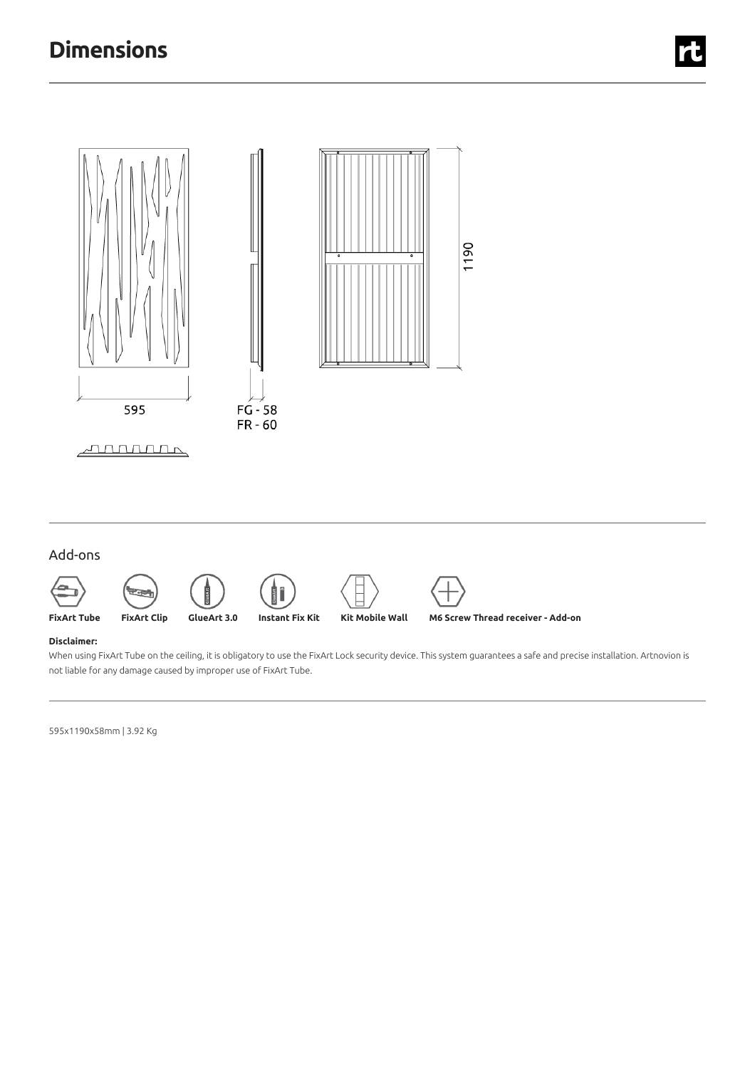

## Add-ons









#### **Disclaimer:**

When using FixArt Tube on the ceiling, it is obligatory to use the FixArt Lock security device. This system guarantees a safe and precise installation. Artnovion is not liable for any damage caused by improper use of FixArt Tube.

595x1190x58mm |3.92 Kg